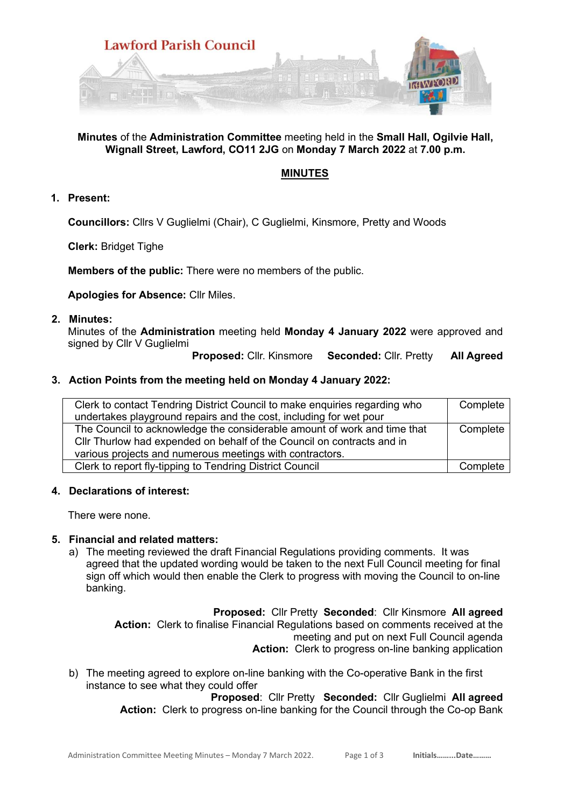

## **Minutes** of the **Administration Committee** meeting held in the **Small Hall, Ogilvie Hall, Wignall Street, Lawford, CO11 2JG** on **Monday 7 March 2022** at **7.00 p.m.**

# **MINUTES**

### **1. Present:**

**Councillors:** Cllrs V Guglielmi (Chair), C Guglielmi, Kinsmore, Pretty and Woods

**Clerk:** Bridget Tighe

**Members of the public:** There were no members of the public.

**Apologies for Absence:** Cllr Miles.

#### **2. Minutes:**

Minutes of the **Administration** meeting held **Monday 4 January 2022** were approved and signed by Cllr V Guglielmi

**Proposed:** Cllr. Kinsmore **Seconded:** Cllr. Pretty **All Agreed**

### **3. Action Points from the meeting held on Monday 4 January 2022:**

| Clerk to contact Tendring District Council to make enquiries regarding who<br>undertakes playground repairs and the cost, including for wet pour                                                               | Complete |
|----------------------------------------------------------------------------------------------------------------------------------------------------------------------------------------------------------------|----------|
| The Council to acknowledge the considerable amount of work and time that<br>Cllr Thurlow had expended on behalf of the Council on contracts and in<br>various projects and numerous meetings with contractors. | Complete |
| Clerk to report fly-tipping to Tendring District Council                                                                                                                                                       | Complete |

### **4. Declarations of interest:**

There were none.

### **5. Financial and related matters:**

a) The meeting reviewed the draft Financial Regulations providing comments. It was agreed that the updated wording would be taken to the next Full Council meeting for final sign off which would then enable the Clerk to progress with moving the Council to on-line banking.

> **Proposed:** Cllr Pretty **Seconded**: Cllr Kinsmore **All agreed Action:** Clerk to finalise Financial Regulations based on comments received at the meeting and put on next Full Council agenda Action: Clerk to progress on-line banking application

b) The meeting agreed to explore on-line banking with the Co-operative Bank in the first instance to see what they could offer

> **Proposed**: Cllr Pretty **Seconded:** Cllr Guglielmi **All agreed Action:** Clerk to progress on-line banking for the Council through the Co-op Bank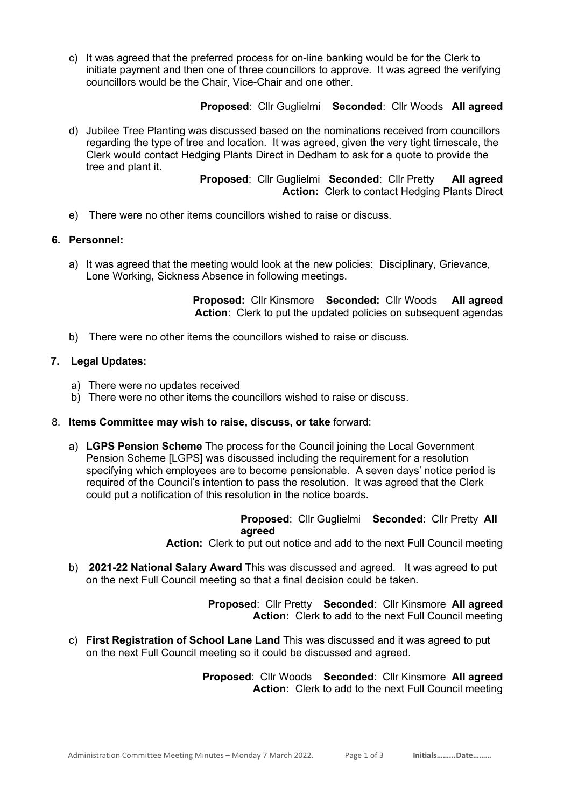c) It was agreed that the preferred process for on-line banking would be for the Clerk to initiate payment and then one of three councillors to approve. It was agreed the verifying councillors would be the Chair, Vice-Chair and one other.

**Proposed**: Cllr Guglielmi **Seconded**: Cllr Woods **All agreed** 

d) Jubilee Tree Planting was discussed based on the nominations received from councillors regarding the type of tree and location. It was agreed, given the very tight timescale, the Clerk would contact Hedging Plants Direct in Dedham to ask for a quote to provide the tree and plant it.

> **Proposed**: Cllr Guglielmi **Seconded**: Cllr Pretty **All agreed Action:** Clerk to contact Hedging Plants Direct

e) There were no other items councillors wished to raise or discuss.

### **6. Personnel:**

a) It was agreed that the meeting would look at the new policies: Disciplinary, Grievance, Lone Working, Sickness Absence in following meetings.

> **Proposed:** Cllr Kinsmore **Seconded:** Cllr Woods **All agreed Action**: Clerk to put the updated policies on subsequent agendas

b) There were no other items the councillors wished to raise or discuss.

### **7. Legal Updates:**

- a) There were no updates received
- b) There were no other items the councillors wished to raise or discuss.

#### 8. **Items Committee may wish to raise, discuss, or take** forward:

a) **LGPS Pension Scheme** The process for the Council joining the Local Government Pension Scheme [LGPS] was discussed including the requirement for a resolution specifying which employees are to become pensionable. A seven days' notice period is required of the Council's intention to pass the resolution. It was agreed that the Clerk could put a notification of this resolution in the notice boards.

> **Proposed**: Cllr Guglielmi **Seconded**: Cllr Pretty **All agreed**

**Action:** Clerk to put out notice and add to the next Full Council meeting

b) **2021-22 National Salary Award** This was discussed and agreed. It was agreed to put on the next Full Council meeting so that a final decision could be taken.

> **Proposed**: Cllr Pretty **Seconded**: Cllr Kinsmore **All agreed Action:** Clerk to add to the next Full Council meeting

c) **First Registration of School Lane Land** This was discussed and it was agreed to put on the next Full Council meeting so it could be discussed and agreed.

> **Proposed**: Cllr Woods **Seconded**: Cllr Kinsmore **All agreed Action:** Clerk to add to the next Full Council meeting